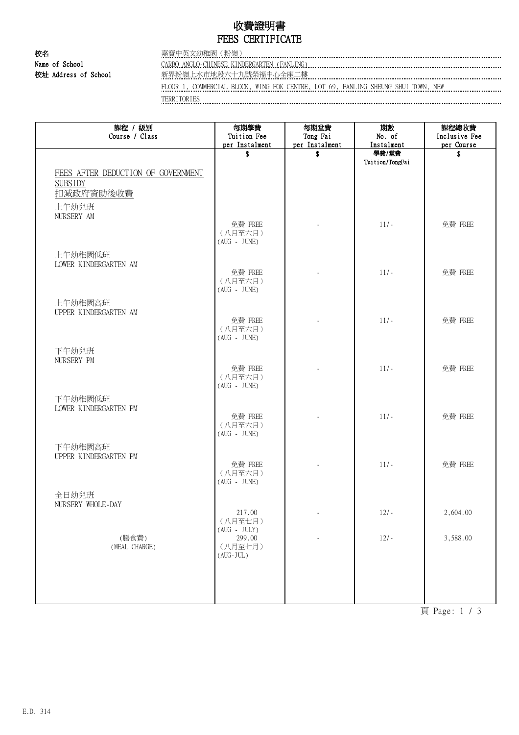# 收費證明書 FEES CERTIFICATE

校名 嘉寶中英文幼稚園(粉嶺) Name of School CARBO ANGLO-CHINESE KINDERGARTEN (FANLING)

校址 Address of School 新界粉嶺上水市地段六十九號榮福中心全座二樓

FLOOR 1, COMMERCIAL BLOCK, WING FOK CENTRE, LOT 69, FANLING SHEUNG SHUI TOWN, NEW

TERRITORIES

| 課程 / 級別<br>Course / Class          | 每期學費<br>Tuition Fee       | 每期堂費<br>Tong Fai         | 期數<br>No. of        | 課程總收費<br>Inclusive Fee |
|------------------------------------|---------------------------|--------------------------|---------------------|------------------------|
|                                    | per Instalment<br>\$      | per Instalment<br>\$     | Instalment<br>學費/堂費 | per Course<br>\$       |
|                                    |                           |                          | Tuition/TongFai     |                        |
| FEES AFTER DEDUCTION OF GOVERNMENT |                           |                          |                     |                        |
| <b>SUBSIDY</b>                     |                           |                          |                     |                        |
| 扣減政府資助後收費                          |                           |                          |                     |                        |
| 上午幼兒班<br>NURSERY AM                |                           |                          |                     |                        |
|                                    | 免費 FREE                   |                          | $11/-$              | 免費 FREE                |
|                                    | (八月至六月)<br>$(AUG - JUNE)$ |                          |                     |                        |
| 上午幼稚園低班                            |                           |                          |                     |                        |
| LOWER KINDERGARTEN AM              |                           |                          |                     |                        |
|                                    | 免費 FREE<br>(八月至六月)        |                          | $11/-$              | 免費 FREE                |
|                                    | $(AUG - JUNE)$            |                          |                     |                        |
| 上午幼稚園高班                            |                           |                          |                     |                        |
| UPPER KINDERGARTEN AM              |                           |                          |                     |                        |
|                                    | 免費 FREE<br>(八月至六月)        |                          | $11/-$              | 免費 FREE                |
|                                    | $(AUG - JUNE)$            |                          |                     |                        |
| 下午幼兒班                              |                           |                          |                     |                        |
| NURSERY PM                         | 免費 FREE                   |                          | $11/-$              | 免費 FREE                |
|                                    | (八月至六月)                   |                          |                     |                        |
|                                    | $(AUG - JUNE)$            |                          |                     |                        |
| 下午幼稚園低班<br>LOWER KINDERGARTEN PM   |                           |                          |                     |                        |
|                                    | 免費 FREE                   |                          | $11/-$              | 免費 FREE                |
|                                    | (八月至六月)<br>$(AUG - JUNE)$ |                          |                     |                        |
| 下午幼稚園高班                            |                           |                          |                     |                        |
| UPPER KINDERGARTEN PM              |                           |                          |                     |                        |
|                                    | 免費 FREE<br>(八月至六月)        |                          | $11/-$              | 免費 FREE                |
|                                    | $(AUG - JUNE)$            |                          |                     |                        |
| 全日幼兒班                              |                           |                          |                     |                        |
| NURSERY WHOLE-DAY                  | 217.00                    | $\overline{\phantom{a}}$ | $12/-$              | 2,604.00               |
|                                    | (八月至七月)                   |                          |                     |                        |
| (膳食費)                              | $(AUG - JULY)$<br>299.00  |                          | $12/-$              | 3,588.00               |
| (MEAL CHARGE)                      | (八月至七月)                   |                          |                     |                        |
|                                    | $(AUG-JUL)$               |                          |                     |                        |
|                                    |                           |                          |                     |                        |
|                                    |                           |                          |                     |                        |
|                                    |                           |                          |                     |                        |

頁 Page: 1 / 3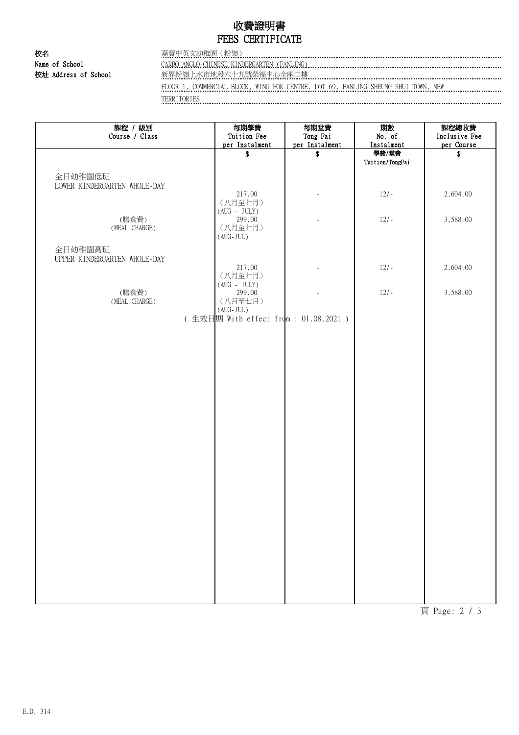# 收費證明書 FEES CERTIFICATE

校名 嘉寶中英文幼稚園(粉嶺) Name of School CARBO ANGLO-CHINESE KINDERGARTEN (FANLING)

校址 Address of School 新界粉嶺上水市地段六十九號榮福中心全座二樓

FLOOR 1, COMMERCIAL BLOCK, WING FOK CENTRE, LOT 69, FANLING SHEUNG SHUI TOWN, NEW

TERRITORIES

| 課程 / 級別<br>Course / Class               | 每期學費<br>Tuition Fee<br>per Instalment                   | 每期堂費<br>Tong Fai<br>per Instalment | 期數<br>No. of<br>Instalment | 課程總收費<br>Inclusive Fee<br>per Course |
|-----------------------------------------|---------------------------------------------------------|------------------------------------|----------------------------|--------------------------------------|
|                                         | \$                                                      | \$                                 | 學費/堂費                      | \$                                   |
|                                         |                                                         |                                    | Tuition/TongFai            |                                      |
| 全日幼稚園低班<br>LOWER KINDERGARTEN WHOLE-DAY |                                                         |                                    |                            |                                      |
|                                         | 217.00                                                  |                                    | $12/-$                     | 2,604.00                             |
|                                         | (八月至七月)<br>$(AUG - JULY)$                               |                                    |                            |                                      |
| (膳食費)                                   | 299.00                                                  |                                    | $12/-$                     | 3,588.00                             |
| (MEAL CHARGE)                           | (八月至七月)<br>$(\,\mathrm{AUG\text{-}JUL}\,)$              |                                    |                            |                                      |
| 全日幼稚園高班                                 |                                                         |                                    |                            |                                      |
| UPPER KINDERGARTEN WHOLE-DAY            | 217.00                                                  |                                    | $12/-$                     | 2,604.00                             |
|                                         | (八月至七月)                                                 |                                    |                            |                                      |
| (膳食費)                                   | $(AUG - JULY)$<br>299.00                                |                                    | $12/-$                     | 3,588.00                             |
| (MEAL CHARGE)                           | (八月至七月)<br>$(\,\mathrm{AUG}\,\text{-}\,\mathrm{JUL}\,)$ |                                    |                            |                                      |
|                                         | (生效日期 With effect from : 01.08.2021)                    |                                    |                            |                                      |
|                                         |                                                         |                                    |                            |                                      |
|                                         |                                                         |                                    |                            |                                      |
|                                         |                                                         |                                    |                            |                                      |
|                                         |                                                         |                                    |                            |                                      |
|                                         |                                                         |                                    |                            |                                      |
|                                         |                                                         |                                    |                            |                                      |
|                                         |                                                         |                                    |                            |                                      |
|                                         |                                                         |                                    |                            |                                      |
|                                         |                                                         |                                    |                            |                                      |
|                                         |                                                         |                                    |                            |                                      |
|                                         |                                                         |                                    |                            |                                      |
|                                         |                                                         |                                    |                            |                                      |
|                                         |                                                         |                                    |                            |                                      |
|                                         |                                                         |                                    |                            |                                      |
|                                         |                                                         |                                    |                            |                                      |
|                                         |                                                         |                                    |                            |                                      |
|                                         |                                                         |                                    |                            |                                      |
|                                         |                                                         |                                    |                            |                                      |
|                                         |                                                         |                                    |                            |                                      |
|                                         |                                                         |                                    |                            |                                      |
|                                         |                                                         |                                    |                            |                                      |

頁 Page: 2 / 3